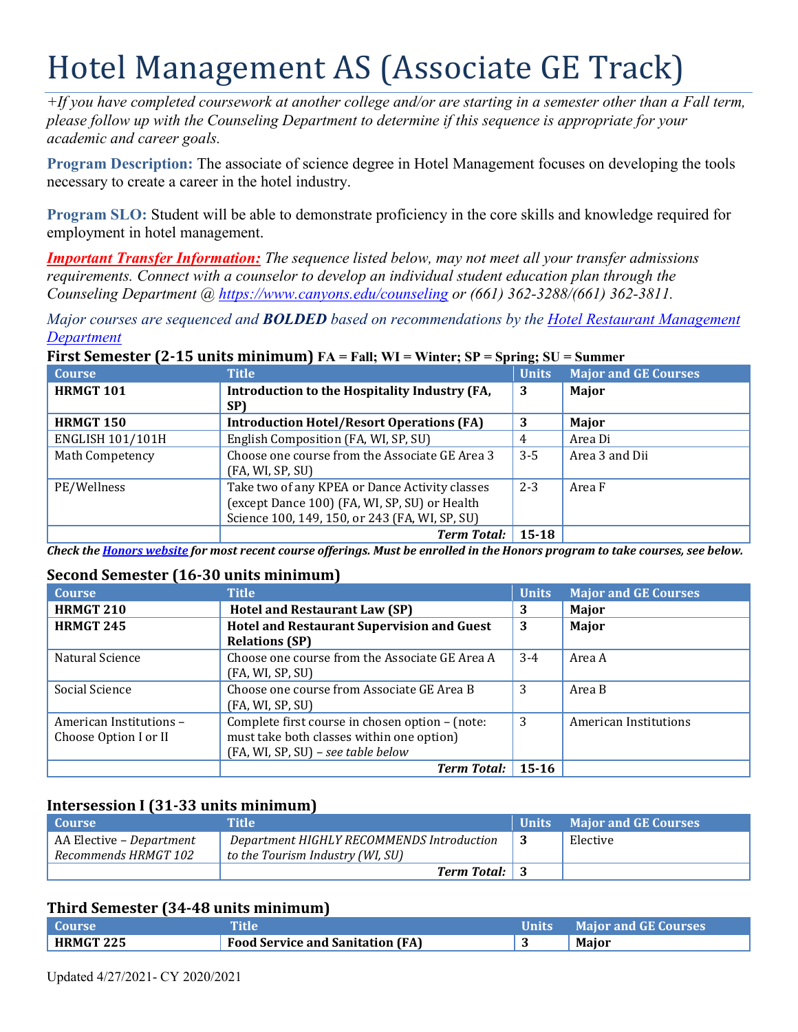# Hotel Management AS (Associate GE Track)

*+If you have completed coursework at another college and/or are starting in a semester other than a Fall term, please follow up with the Counseling Department to determine if this sequence is appropriate for your academic and career goals.* 

**Program Description:** The associate of science degree in Hotel Management focuses on developing the tools necessary to create a career in the hotel industry.

 **Program SLO:** Student will be able to demonstrate proficiency in the core skills and knowledge required for employment in hotel management.

*Important Transfer Information: The sequence listed below, may not meet all your transfer admissions requirements. Connect with a counselor to develop an individual student education plan through the Counseling Department @<https://www.canyons.edu/counseling> or (661) 362-3288/(661) 362-3811.* 

*Major courses are sequenced and BOLDED based on recommendations by the Hotel Restaurant Management Department* 

#### **Course HRMGT 101 Title Introduction to the Hospitality Industry (FA, SP) Units 3 Major and GE Courses Major HRMGT 150** Introduction Hotel/Resort Operations (FA) 3 Major ENGLISH 101/101H English Composition (FA, WI, SP, SU) 4 Area Di<br>Math Competency Choose one course from the Associate GE Area 3 3-5 Area 3 a Math Competency **Choose one course from the Associate GE Area 3** (FA, WI, SP, SU) Area 3 and Dii PE/Wellness Take two of any KPEA or Dance Activity classes (except Dance 100) (FA, WI, SP, SU) or Health Science 100, 149, 150, or 243 (FA, WI, SP, SU) 2-3 Area F *Term Total:* **15-18**

# **First Semester (2-15 units minimum) FA = Fall; WI = Winter; SP = Spring; SU = Summer**

*Check the Honors website for most recent course offerings. Must be enrolled in the Honors program to take courses, see below.* 

#### **Second Semester (16-30 units minimum)**

| <b>Course</b>           | <b>Title</b>                                      | <b>Units</b> | <b>Major and GE Courses</b> |
|-------------------------|---------------------------------------------------|--------------|-----------------------------|
| <b>HRMGT 210</b>        | <b>Hotel and Restaurant Law (SP)</b>              | 3            | Major                       |
| <b>HRMGT 245</b>        | <b>Hotel and Restaurant Supervision and Guest</b> | 3            | Major                       |
|                         | <b>Relations (SP)</b>                             |              |                             |
| Natural Science         | Choose one course from the Associate GE Area A    | $3-4$        | Area A                      |
|                         | (FA, WI, SP, SU)                                  |              |                             |
| Social Science          | Choose one course from Associate GE Area B        | 3            | Area B                      |
|                         | (FA, WI, SP, SU)                                  |              |                             |
| American Institutions - | Complete first course in chosen option - (note:   | 3            | American Institutions       |
| Choose Option I or II   | must take both classes within one option)         |              |                             |
|                         | (FA, WI, SP, SU) - see table below                |              |                             |
|                         | <b>Term Total:</b>                                | $15 - 16$    |                             |

### **Intersession I (31-33 units minimum)**

| l Course                 | Title                                     | <b>Units</b> | <b>Major and GE Courses</b> |
|--------------------------|-------------------------------------------|--------------|-----------------------------|
| AA Elective – Department | Department HIGHLY RECOMMENDS Introduction |              | Elective                    |
| Recommends HRMGT 102     | to the Tourism Industry (WI, SU)          |              |                             |
|                          | <b>Term Total:</b> 3                      |              |                             |

#### **Third Semester (34-48 units minimum)**

| Course           |                                         | Units | <b>Major and GE Courses</b> |
|------------------|-----------------------------------------|-------|-----------------------------|
| <b>HRMGT 225</b> | <b>Food Service and Sanitation (FA)</b> |       | Major                       |